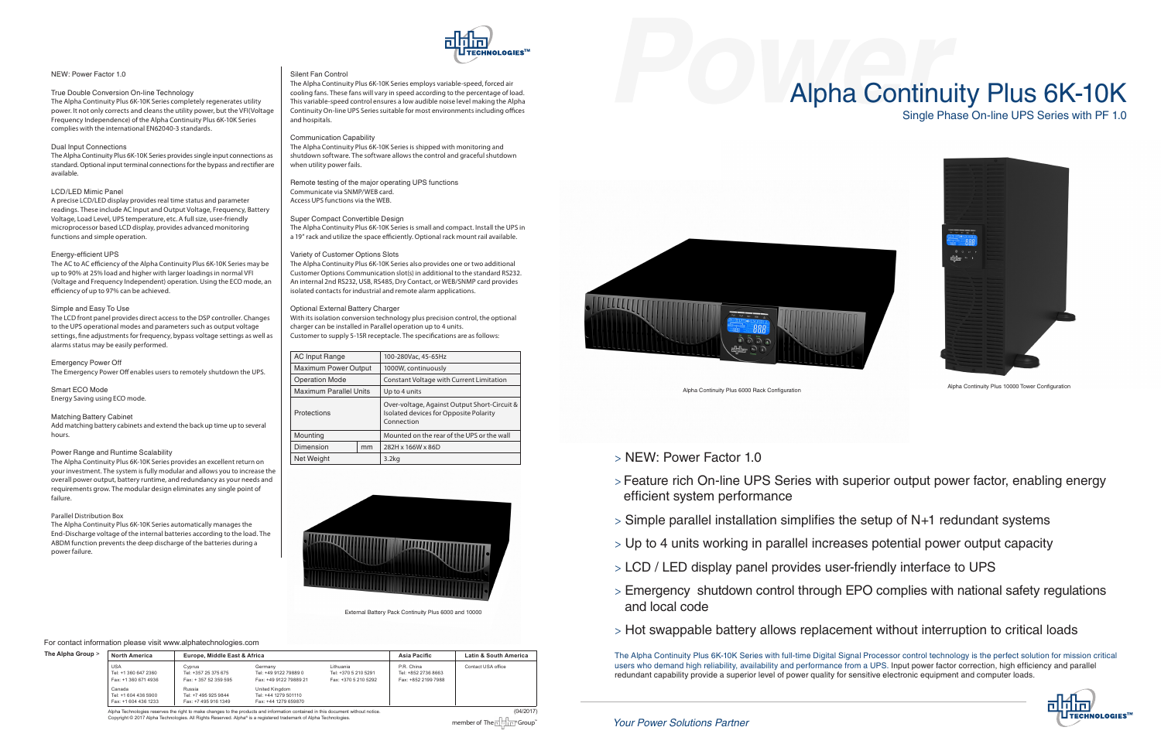| The Alpha Group > | <b>North America</b>                                       | Europe, Middle East & Africa                           |                                                                |                                                           | Asia Pacific                                             | Latin & South America |
|-------------------|------------------------------------------------------------|--------------------------------------------------------|----------------------------------------------------------------|-----------------------------------------------------------|----------------------------------------------------------|-----------------------|
|                   | <b>USA</b><br>Tel: +1 360 647 2360<br>Fax: +1 360 671 4936 | Cyprus<br>Tel: +357 25 375 675<br>Fax: +357 52 359 595 | Germany<br>Tel: +49 9122 79889 0<br>Fax: +49 9122 79889 21     | Lithuania<br>Tel: +370 5 210 5291<br>Fax: +370 5 210 5292 | P.R. China<br>Tel: +852 2736 8663<br>Fax: +852 2199 7988 | Contact USA office    |
|                   | Canada<br>Tel: +1 604 436 5900<br>Fax: +1 604 436 1233     | Russia<br>Tel: +7 495 925 9844<br>Fax: +7 495 916 1349 | United Kingdom<br>Tel: +44 1279 501110<br>Fax: +44 1279 659870 |                                                           |                                                          |                       |

Alpha Technologies reserves the right to make changes to the products and information contained in this document without notice. (04/2017) Copyright © 2017 Alpha Technologies. All Rights Reserved. Alpha® is a registered trademark of Alpha Technologies.





#### For contact information please visit www.alphatechnologies.com

> Feature rich On-line UPS Series with superior output power factor, enabling energy

> Simple parallel installation simplifies the setup of N+1 redundant systems

- > NEW: Power Factor 1.0
- efficient system performance
- 
- > Up to 4 units working in parallel increases potential power output capacity
- > LCD / LED display panel provides user-friendly interface to UPS
- > Emergency shutdown control through EPO complies with national safety regulations and local code
- 

> Hot swappable battery allows replacement without interruption to critical loads



# Alpha Continuity Plus 6K-10K Single Phase On-line UPS Series with PF 1.0



The Alpha Continuity Plus 6K-10K Series with full-time Digital Signal Processor control technology is the perfect solution for mission critical users who demand high reliability, availability and performance from a UPS. Input power factor correction, high efficiency and parallel redundant capability provide a superior level of power quality for sensitive electronic equipment and computer loads.

#### NEW: Power Factor 1.0

### True Double Conversion On-line Technology

The Alpha Continuity Plus 6K-10K Series completely regenerates utility power. It not only corrects and cleans the utility power, but the VFI(Voltage Frequency Independence) of the Alpha Continuity Plus 6K-10K Series complies with the international EN62040-3 standards.

#### Dual Input Connections

The Alpha Continuity Plus 6K-10K Series provides single input connections as standard. Optional input terminal connections for the bypass and rectifier are available.

#### LCD/LED Mimic Panel

A precise LCD/LED display provides real time status and parameter readings. These include AC Input and Output Voltage, Frequency, Battery Voltage, Load Level, UPS temperature, etc. A full size, user-friendly microprocessor based LCD display, provides advanced monitoring functions and simple operation.

#### Energy-efficient UPS

The AC to AC efficiency of the Alpha Continuity Plus 6K-10K Series may be up to 90% at 25% load and higher with larger loadings in normal VFI (Voltage and Frequency Independent) operation. Using the ECO mode, an efficiency of up to 97% can be achieved.

#### Simple and Easy To Use

The LCD front panel provides direct access to the DSP controller. Changes to the UPS operational modes and parameters such as output voltage settings, fine adjustments for frequency, bypass voltage settings as well as alarms status may be easily performed.

Emergency Power Off

The Emergency Power Off enables users to remotely shutdown the UPS.

#### Smart ECO Mode Energy Saving using ECO mode.

#### Matching Battery Cabinet

Add matching battery cabinets and extend the back up time up to several hours.

#### Power Range and Runtime Scalability

The Alpha Continuity Plus 6K-10K Series provides an excellent return on your investment. The system is fully modular and allows you to increase the overall power output, battery runtime, and redundancy as your needs and requirements grow. The modular design eliminates any single point of failure.

#### Parallel Distribution Box

The Alpha Continuity Plus 6K-10K Series automatically manages the End-Discharge voltage of the internal batteries according to the load. The ABDM function prevents the deep discharge of the batteries during a power failure.

#### Silent Fan Control

The Alpha Continuity Plus 6K-10K Series employs variable-speed, forced air cooling fans. These fans will vary in speed according to the percentage of load. This variable-speed control ensures a low audible noise level making the Alpha Continuity On-line UPS Series suitable for most environments including offices and hospitals.

#### Communication Capability

The Alpha Continuity Plus 6K-10K Series is shipped with monitoring and shutdown software. The software allows the control and graceful shutdown when utility power fails.

Remote testing of the major operating UPS functions Communicate via SNMP/WEB card. Access UPS functions via the WEB.

#### Super Compact Convertible Design

The Alpha Continuity Plus 6K-10K Series is small and compact. Install the UPS in a 19" rack and utilize the space efficiently. Optional rack mount rail available.

#### Variety of Customer Options Slots

The Alpha Continuity Plus 6K-10K Series also provides one or two additional Customer Options Communication slot(s) in additional to the standard RS232. An internal 2nd RS232, USB, RS485, Dry Contact, or WEB/SNMP card provides isolated contacts for industrial and remote alarm applications.

#### Optional External Battery Charger

With its isolation conversion technology plus precision control, the optional charger can be installed in Parallel operation up to 4 units. Customer to supply 5-15R receptacle. The specifications are as follows:

| <b>AC Input Range</b>         |    | 100-280Vac, 45-65Hz                                                                                  |  |  |
|-------------------------------|----|------------------------------------------------------------------------------------------------------|--|--|
| <b>Maximum Power Output</b>   |    | 1000W, continuously                                                                                  |  |  |
| <b>Operation Mode</b>         |    | <b>Constant Voltage with Current Limitation</b>                                                      |  |  |
| <b>Maximum Parallel Units</b> |    | Up to 4 units                                                                                        |  |  |
| Protections                   |    | Over-voltage, Against Output Short-Circuit &<br>Isolated devices for Opposite Polarity<br>Connection |  |  |
| Mounting                      |    | Mounted on the rear of the UPS or the wall                                                           |  |  |
| Dimension                     | mm | 282H x 166W x 86D                                                                                    |  |  |
| Net Weight                    |    | $3.2k$ a                                                                                             |  |  |

Alpha Continuity Plus 10000 Tower Configuration Alpha Continuity Plus 6000 Rack Configuration



External Battery Pack Continuity Plus 6000 and 10000